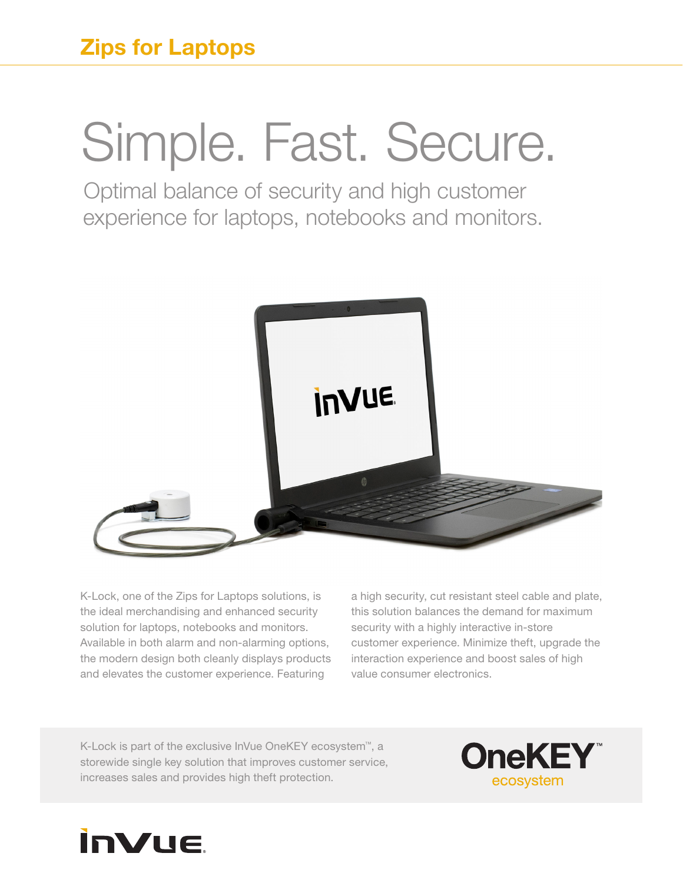## Simple. Fast. Secure.

Optimal balance of security and high customer experience for laptops, notebooks and monitors.



K-Lock, one of the Zips for Laptops solutions, is the ideal merchandising and enhanced security solution for laptops, notebooks and monitors. Available in both alarm and non-alarming options, the modern design both cleanly displays products and elevates the customer experience. Featuring

a high security, cut resistant steel cable and plate, this solution balances the demand for maximum security with a highly interactive in-store customer experience. Minimize theft, upgrade the interaction experience and boost sales of high value consumer electronics.

K-Lock is part of the exclusive InVue OneKEY ecosystem™, a storewide single key solution that improves customer service, increases sales and provides high theft protection.